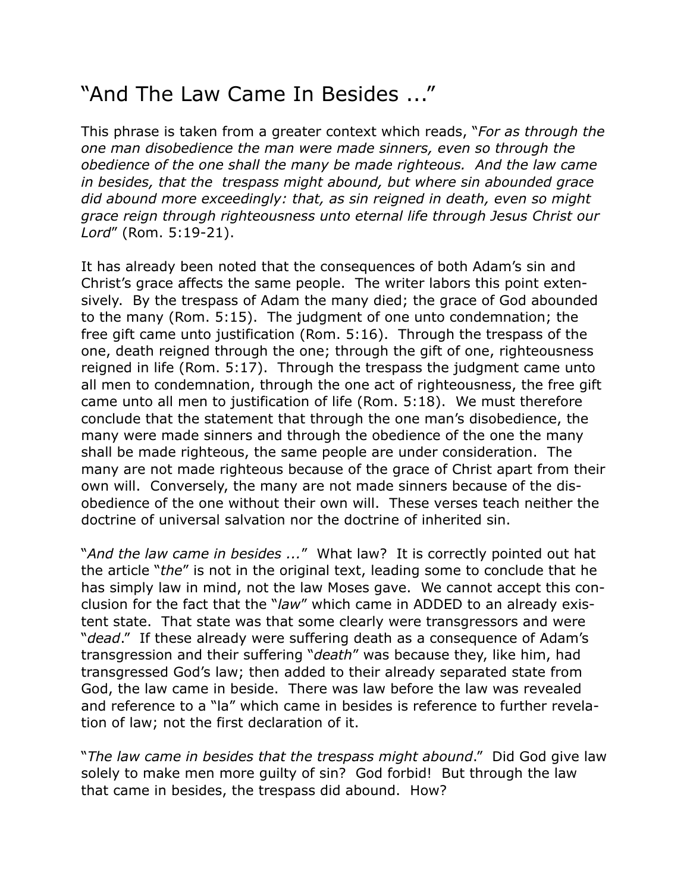## "And The Law Came In Besides ..."

This phrase is taken from a greater context which reads, "*For as through the one man disobedience the man were made sinners, even so through the obedience of the one shall the many be made righteous. And the law came in besides, that the trespass might abound, but where sin abounded grace did abound more exceedingly: that, as sin reigned in death, even so might grace reign through righteousness unto eternal life through Jesus Christ our Lord*" (Rom. 5:19-21).

It has already been noted that the consequences of both Adam's sin and Christ's grace affects the same people. The writer labors this point extensively. By the trespass of Adam the many died; the grace of God abounded to the many (Rom. 5:15). The judgment of one unto condemnation; the free gift came unto justification (Rom. 5:16). Through the trespass of the one, death reigned through the one; through the gift of one, righteousness reigned in life (Rom. 5:17). Through the trespass the judgment came unto all men to condemnation, through the one act of righteousness, the free gift came unto all men to justification of life (Rom. 5:18). We must therefore conclude that the statement that through the one man's disobedience, the many were made sinners and through the obedience of the one the many shall be made righteous, the same people are under consideration. The many are not made righteous because of the grace of Christ apart from their own will. Conversely, the many are not made sinners because of the disobedience of the one without their own will. These verses teach neither the doctrine of universal salvation nor the doctrine of inherited sin.

"*And the law came in besides ...*" What law? It is correctly pointed out hat the article "*the*" is not in the original text, leading some to conclude that he has simply law in mind, not the law Moses gave. We cannot accept this conclusion for the fact that the "*law*" which came in ADDED to an already existent state. That state was that some clearly were transgressors and were "*dead*." If these already were suffering death as a consequence of Adam's transgression and their suffering "*death*" was because they, like him, had transgressed God's law; then added to their already separated state from God, the law came in beside. There was law before the law was revealed and reference to a "la" which came in besides is reference to further revelation of law; not the first declaration of it.

"*The law came in besides that the trespass might abound*." Did God give law solely to make men more guilty of sin? God forbid! But through the law that came in besides, the trespass did abound. How?